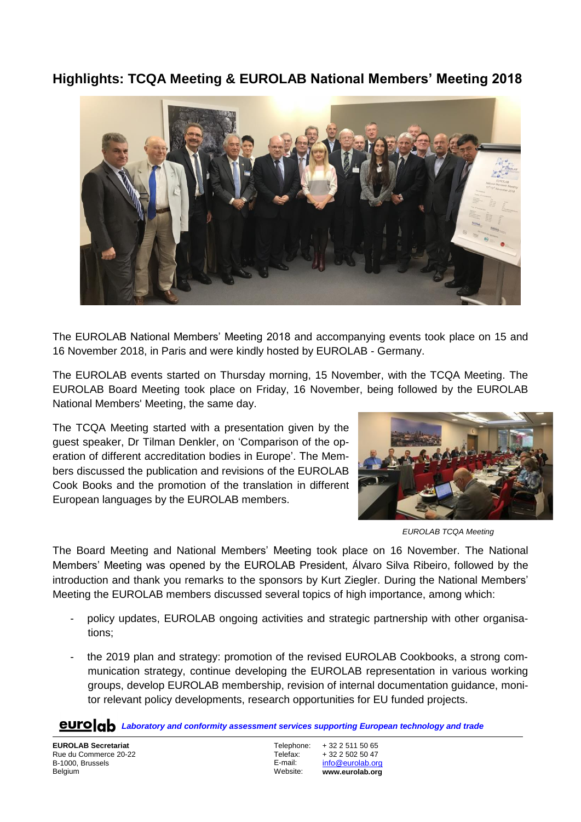## **Highlights: TCQA Meeting & EUROLAB National Members' Meeting 2018**



The EUROLAB National Members' Meeting 2018 and accompanying events took place on 15 and 16 November 2018, in Paris and were kindly hosted by EUROLAB - Germany.

The EUROLAB events started on Thursday morning, 15 November, with the TCQA Meeting. The EUROLAB Board Meeting took place on Friday, 16 November, being followed by the EUROLAB National Members' Meeting, the same day.

The TCQA Meeting started with a presentation given by the guest speaker, Dr Tilman Denkler, on 'Comparison of the operation of different accreditation bodies in Europe'. The Members discussed the publication and revisions of the EUROLAB Cook Books and the promotion of the translation in different European languages by the EUROLAB members.



*EUROLAB TCQA Meeting*

The Board Meeting and National Members' Meeting took place on 16 November. The National Members' Meeting was opened by the EUROLAB President, Álvaro Silva Ribeiro, followed by the introduction and thank you remarks to the sponsors by Kurt Ziegler. During the National Members' Meeting the EUROLAB members discussed several topics of high importance, among which:

- policy updates, EUROLAB ongoing activities and strategic partnership with other organisations;
- the 2019 plan and strategy: promotion of the revised EUROLAB Cookbooks, a strong communication strategy, continue developing the EUROLAB representation in various working groups, develop EUROLAB membership, revision of internal documentation guidance, monitor relevant policy developments, research opportunities for EU funded projects.

*Laboratory and conformity assessment services supporting European technology and trade*

**EUROLAB Secretariat** Rue du Commerce 20-22 B-1000, Brussels Belgium

Telephone: Telefax: E-mail: Website:  $+ 32255115065$ + 32 2 502 50 47 [info@eurolab.org](mailto:info@eurolab.org) **www.eurolab.org**